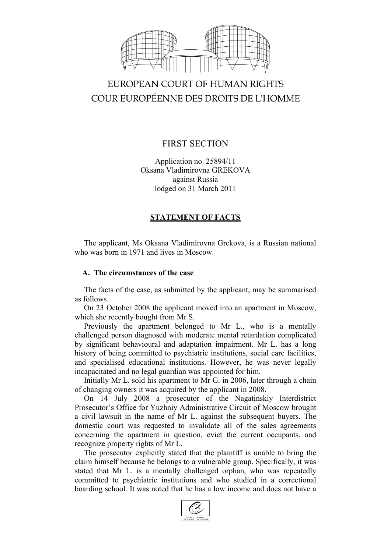

# EUROPEAN COURT OF HUMAN RIGHTS COUR EUROPÉENNE DES DROITS DE L'HOMME

# FIRST SECTION

Application no. 25894/11 Oksana Vladimirovna GREKOVA against Russia lodged on 31 March 2011

# **STATEMENT OF FACTS**

The applicant, Ms Oksana Vladimirovna Grekova, is a Russian national who was born in 1971 and lives in Moscow.

### **A. The circumstances of the case**

The facts of the case, as submitted by the applicant, may be summarised as follows.

On 23 October 2008 the applicant moved into an apartment in Moscow, which she recently bought from Mr S.

Previously the apartment belonged to Mr L., who is a mentally challenged person diagnosed with moderate mental retardation complicated by significant behavioural and adaptation impairment. Mr L. has a long history of being committed to psychiatric institutions, social care facilities, and specialised educational institutions. However, he was never legally incapacitated and no legal guardian was appointed for him.

Initially Mr L. sold his apartment to Mr G. in 2006, later through a chain of changing owners it was acquired by the applicant in 2008.

On 14 July 2008 a prosecutor of the Nagatinskiy Interdistrict Prosecutor's Office for Yuzhniy Administrative Circuit of Moscow brought a civil lawsuit in the name of Mr L. against the subsequent buyers. The domestic court was requested to invalidate all of the sales agreements concerning the apartment in question, evict the current occupants, and recognize property rights of Mr L.

The prosecutor explicitly stated that the plaintiff is unable to bring the claim himself because he belongs to a vulnerable group. Specifically, it was stated that Mr L. is a mentally challenged orphan, who was repeatedly committed to psychiatric institutions and who studied in a correctional boarding school. It was noted that he has a low income and does not have a

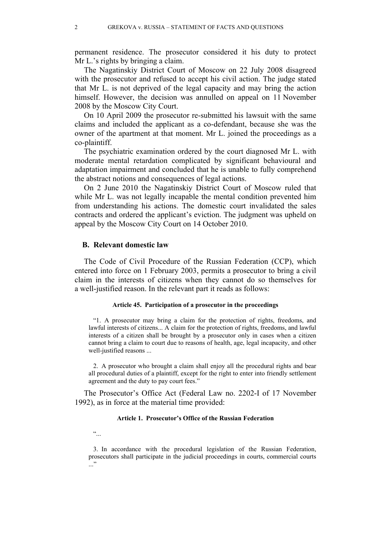permanent residence. The prosecutor considered it his duty to protect Mr L.'s rights by bringing a claim.

The Nagatinskiy District Court of Moscow on 22 July 2008 disagreed with the prosecutor and refused to accept his civil action. The judge stated that Mr L. is not deprived of the legal capacity and may bring the action himself. However, the decision was annulled on appeal on 11 November 2008 by the Moscow City Court.

On 10 April 2009 the prosecutor re-submitted his lawsuit with the same claims and included the applicant as a co-defendant, because she was the owner of the apartment at that moment. Mr L. joined the proceedings as a co-plaintiff.

The psychiatric examination ordered by the court diagnosed Mr L. with moderate mental retardation complicated by significant behavioural and adaptation impairment and concluded that he is unable to fully comprehend the abstract notions and consequences of legal actions.

On 2 June 2010 the Nagatinskiy District Court of Moscow ruled that while Mr L. was not legally incapable the mental condition prevented him from understanding his actions. The domestic court invalidated the sales contracts and ordered the applicant's eviction. The judgment was upheld on appeal by the Moscow City Court on 14 October 2010.

#### **B. Relevant domestic law**

The Code of Civil Procedure of the Russian Federation (CCP), which entered into force on 1 February 2003, permits a prosecutor to bring a civil claim in the interests of citizens when they cannot do so themselves for a well-justified reason. In the relevant part it reads as follows:

#### **Article 45. Participation of a prosecutor in the proceedings**

"1. A prosecutor may bring a claim for the protection of rights, freedoms, and lawful interests of citizens... A claim for the protection of rights, freedoms, and lawful interests of a citizen shall be brought by a prosecutor only in cases when a citizen cannot bring a claim to court due to reasons of health, age, legal incapacity, and other well-justified reasons ...

2. A prosecutor who brought a claim shall enjoy all the procedural rights and bear all procedural duties of a plaintiff, except for the right to enter into friendly settlement agreement and the duty to pay court fees."

The Prosecutor's Office Act (Federal Law no. 2202-I of 17 November 1992), as in force at the material time provided:

#### **Article 1. Prosecutor's Office of the Russian Federation**

 $\ddot{\cdot}$ 

3. In accordance with the procedural legislation of the Russian Federation, prosecutors shall participate in the judicial proceedings in courts, commercial courts ..."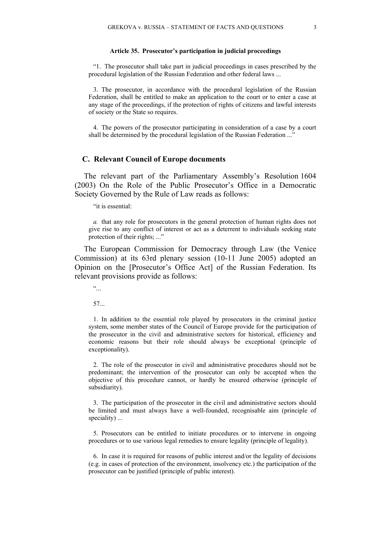#### **Article 35. Prosecutor's participation in judicial proceedings**

"1. The prosecutor shall take part in judicial proceedings in cases prescribed by the procedural legislation of the Russian Federation and other federal laws ...

3. The prosecutor, in accordance with the procedural legislation of the Russian Federation, shall be entitled to make an application to the court or to enter a case at any stage of the proceedings, if the protection of rights of citizens and lawful interests of society or the State so requires.

4. The powers of the prosecutor participating in consideration of a case by a court shall be determined by the procedural legislation of the Russian Federation ..."

#### **C. Relevant Council of Europe documents**

The relevant part of the Parliamentary Assembly's Resolution 1604 (2003) On the Role of the Public Prosecutor's Office in a Democratic Society Governed by the Rule of Law reads as follows:

"it is essential:

*a.* that any role for prosecutors in the general protection of human rights does not give rise to any conflict of interest or act as a deterrent to individuals seeking state protection of their rights; ..."

The European Commission for Democracy through Law (the Venice Commission) at its 63rd plenary session (10-11 June 2005) adopted an Opinion on the [Prosecutor's Office Act] of the Russian Federation. Its relevant provisions provide as follows:

 $\ddot{\cdot}$ 

57...

1. In addition to the essential role played by prosecutors in the criminal justice system, some member states of the Council of Europe provide for the participation of the prosecutor in the civil and administrative sectors for historical, efficiency and economic reasons but their role should always be exceptional (principle of exceptionality).

2. The role of the prosecutor in civil and administrative procedures should not be predominant; the intervention of the prosecutor can only be accepted when the objective of this procedure cannot, or hardly be ensured otherwise (principle of subsidiarity).

3. The participation of the prosecutor in the civil and administrative sectors should be limited and must always have a well-founded, recognisable aim (principle of speciality) ...

5. Prosecutors can be entitled to initiate procedures or to intervene in ongoing procedures or to use various legal remedies to ensure legality (principle of legality).

6. In case it is required for reasons of public interest and/or the legality of decisions (e.g. in cases of protection of the environment, insolvency etc.) the participation of the prosecutor can be justified (principle of public interest).